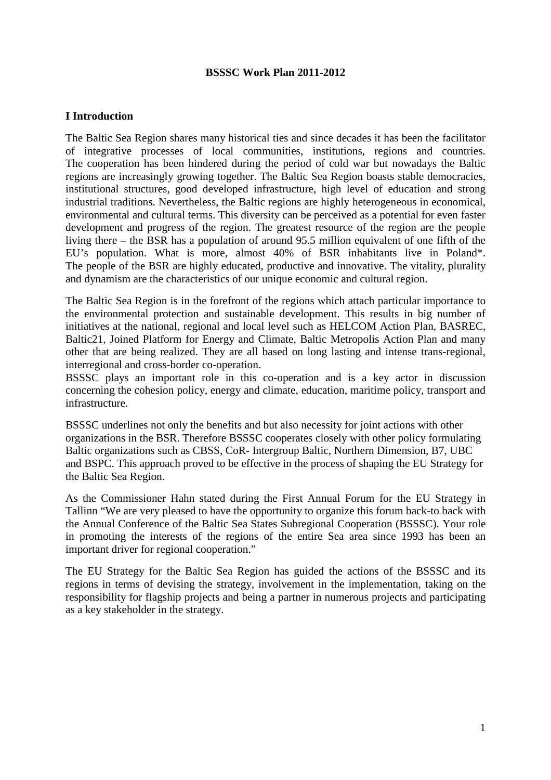#### **BSSSC Work Plan 2011-2012**

#### **I Introduction**

The Baltic Sea Region shares many historical ties and since decades it has been the facilitator of integrative processes of local communities, institutions, regions and countries. The cooperation has been hindered during the period of cold war but nowadays the Baltic regions are increasingly growing together. The Baltic Sea Region boasts stable democracies, institutional structures, good developed infrastructure, high level of education and strong industrial traditions. Nevertheless, the Baltic regions are highly heterogeneous in economical, environmental and cultural terms. This diversity can be perceived as a potential for even faster development and progress of the region. The greatest resource of the region are the people living there – the BSR has a population of around 95.5 million equivalent of one fifth of the EU's population. What is more, almost 40% of BSR inhabitants live in Poland\*. The people of the BSR are highly educated, productive and innovative. The vitality, plurality and dynamism are the characteristics of our unique economic and cultural region.

The Baltic Sea Region is in the forefront of the regions which attach particular importance to the environmental protection and sustainable development. This results in big number of initiatives at the national, regional and local level such as HELCOM Action Plan, BASREC, Baltic21, Joined Platform for Energy and Climate, Baltic Metropolis Action Plan and many other that are being realized. They are all based on long lasting and intense trans-regional, interregional and cross-border co-operation.

BSSSC plays an important role in this co-operation and is a key actor in discussion concerning the cohesion policy, energy and climate, education, maritime policy, transport and infrastructure.

BSSSC underlines not only the benefits and but also necessity for joint actions with other organizations in the BSR. Therefore BSSSC cooperates closely with other policy formulating Baltic organizations such as CBSS, CoR- Intergroup Baltic, Northern Dimension, B7, UBC and BSPC. This approach proved to be effective in the process of shaping the EU Strategy for the Baltic Sea Region.

As the Commissioner Hahn stated during the First Annual Forum for the EU Strategy in Tallinn "We are very pleased to have the opportunity to organize this forum back-to back with the Annual Conference of the Baltic Sea States Subregional Cooperation (BSSSC). Your role in promoting the interests of the regions of the entire Sea area since 1993 has been an important driver for regional cooperation."

The EU Strategy for the Baltic Sea Region has guided the actions of the BSSSC and its regions in terms of devising the strategy, involvement in the implementation, taking on the responsibility for flagship projects and being a partner in numerous projects and participating as a key stakeholder in the strategy.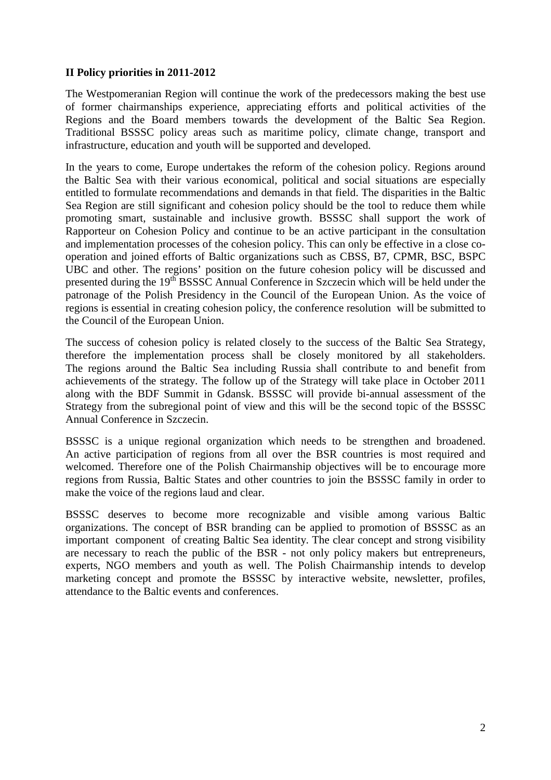### **II Policy priorities in 2011-2012**

The Westpomeranian Region will continue the work of the predecessors making the best use of former chairmanships experience, appreciating efforts and political activities of the Regions and the Board members towards the development of the Baltic Sea Region. Traditional BSSSC policy areas such as maritime policy, climate change, transport and infrastructure, education and youth will be supported and developed.

In the years to come, Europe undertakes the reform of the cohesion policy. Regions around the Baltic Sea with their various economical, political and social situations are especially entitled to formulate recommendations and demands in that field. The disparities in the Baltic Sea Region are still significant and cohesion policy should be the tool to reduce them while promoting smart, sustainable and inclusive growth. BSSSC shall support the work of Rapporteur on Cohesion Policy and continue to be an active participant in the consultation and implementation processes of the cohesion policy. This can only be effective in a close cooperation and joined efforts of Baltic organizations such as CBSS, B7, CPMR, BSC, BSPC UBC and other. The regions' position on the future cohesion policy will be discussed and presented during the 19<sup>th</sup> BSSSC Annual Conference in Szczecin which will be held under the patronage of the Polish Presidency in the Council of the European Union. As the voice of regions is essential in creating cohesion policy, the conference resolution will be submitted to the Council of the European Union.

The success of cohesion policy is related closely to the success of the Baltic Sea Strategy, therefore the implementation process shall be closely monitored by all stakeholders. The regions around the Baltic Sea including Russia shall contribute to and benefit from achievements of the strategy. The follow up of the Strategy will take place in October 2011 along with the BDF Summit in Gdansk. BSSSC will provide bi-annual assessment of the Strategy from the subregional point of view and this will be the second topic of the BSSSC Annual Conference in Szczecin.

BSSSC is a unique regional organization which needs to be strengthen and broadened. An active participation of regions from all over the BSR countries is most required and welcomed. Therefore one of the Polish Chairmanship objectives will be to encourage more regions from Russia, Baltic States and other countries to join the BSSSC family in order to make the voice of the regions laud and clear.

BSSSC deserves to become more recognizable and visible among various Baltic organizations. The concept of BSR branding can be applied to promotion of BSSSC as an important component of creating Baltic Sea identity. The clear concept and strong visibility are necessary to reach the public of the BSR - not only policy makers but entrepreneurs, experts, NGO members and youth as well. The Polish Chairmanship intends to develop marketing concept and promote the BSSSC by interactive website, newsletter, profiles, attendance to the Baltic events and conferences.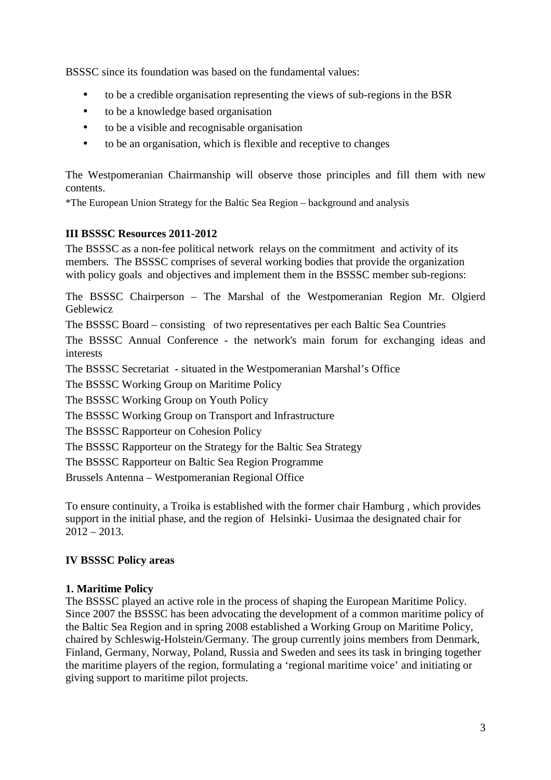BSSSC since its foundation was based on the fundamental values:

- to be a credible organisation representing the views of sub-regions in the BSR
- to be a knowledge based organisation
- to be a visible and recognisable organisation
- to be an organisation, which is flexible and receptive to changes

The Westpomeranian Chairmanship will observe those principles and fill them with new contents.

\*The European Union Strategy for the Baltic Sea Region – background and analysis

# **III BSSSC Resources 2011-2012**

The BSSSC as a non-fee political network relays on the commitment and activity of its members. The BSSSC comprises of several working bodies that provide the organization with policy goals and objectives and implement them in the BSSSC member sub-regions:

The BSSSC Chairperson – The Marshal of the Westpomeranian Region Mr. Olgierd Geblewicz

The BSSSC Board – consisting of two representatives per each Baltic Sea Countries

The BSSSC Annual Conference - the network's main forum for exchanging ideas and interests

The BSSSC Secretariat - situated in the Westpomeranian Marshal's Office

The BSSSC Working Group on Maritime Policy

The BSSSC Working Group on Youth Policy

The BSSSC Working Group on Transport and Infrastructure

The BSSSC Rapporteur on Cohesion Policy

The BSSSC Rapporteur on the Strategy for the Baltic Sea Strategy

The BSSSC Rapporteur on Baltic Sea Region Programme

Brussels Antenna – Westpomeranian Regional Office

To ensure continuity, a Troika is established with the former chair Hamburg , which provides support in the initial phase, and the region of Helsinki- Uusimaa the designated chair for  $2012 - 2013$ .

### **IV BSSSC Policy areas**

### **1. Maritime Policy**

The BSSSC played an active role in the process of shaping the European Maritime Policy. Since 2007 the BSSSC has been advocating the development of a common maritime policy of the Baltic Sea Region and in spring 2008 established a Working Group on Maritime Policy, chaired by Schleswig-Holstein/Germany. The group currently joins members from Denmark, Finland, Germany, Norway, Poland, Russia and Sweden and sees its task in bringing together the maritime players of the region, formulating a 'regional maritime voice' and initiating or giving support to maritime pilot projects.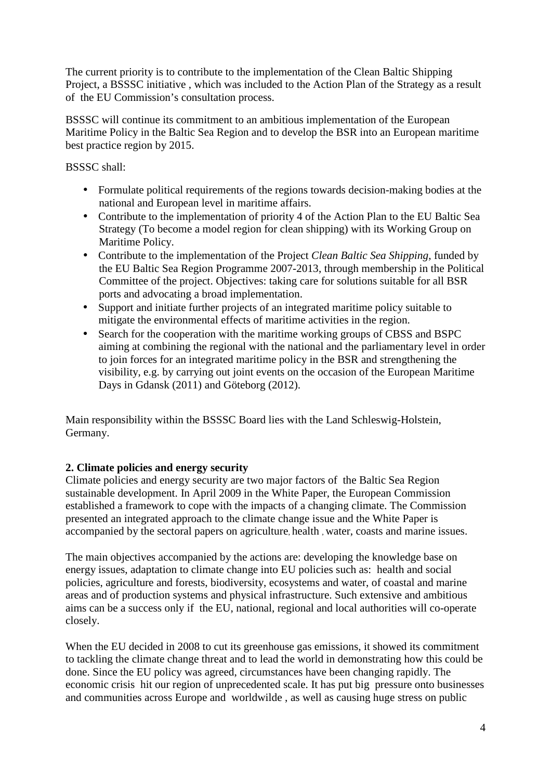The current priority is to contribute to the implementation of the Clean Baltic Shipping Project, a BSSSC initiative , which was included to the Action Plan of the Strategy as a result of the EU Commission's consultation process.

BSSSC will continue its commitment to an ambitious implementation of the European Maritime Policy in the Baltic Sea Region and to develop the BSR into an European maritime best practice region by 2015.

BSSSC shall:

- Formulate political requirements of the regions towards decision-making bodies at the national and European level in maritime affairs.
- Contribute to the implementation of priority 4 of the Action Plan to the EU Baltic Sea Strategy (To become a model region for clean shipping) with its Working Group on Maritime Policy.
- Contribute to the implementation of the Project *Clean Baltic Sea Shipping*, funded by the EU Baltic Sea Region Programme 2007-2013, through membership in the Political Committee of the project. Objectives: taking care for solutions suitable for all BSR ports and advocating a broad implementation.
- Support and initiate further projects of an integrated maritime policy suitable to mitigate the environmental effects of maritime activities in the region.
- Search for the cooperation with the maritime working groups of CBSS and BSPC aiming at combining the regional with the national and the parliamentary level in order to join forces for an integrated maritime policy in the BSR and strengthening the visibility, e.g. by carrying out joint events on the occasion of the European Maritime Days in Gdansk (2011) and Göteborg (2012).

Main responsibility within the BSSSC Board lies with the Land Schleswig-Holstein, Germany.

### **2. Climate policies and energy security**

Climate policies and energy security are two major factors of the Baltic Sea Region sustainable development. In April 2009 in the White Paper, the European Commission established a framework to cope with the impacts of a changing climate. The Commission presented an integrated approach to the climate change issue and the White Paper is accompanied by the sectoral papers on agriculture, health , water, coasts and marine issues.

The main objectives accompanied by the actions are: developing the knowledge base on energy issues, adaptation to climate change into EU policies such as: health and social policies, agriculture and forests, biodiversity, ecosystems and water, of coastal and marine areas and of production systems and physical infrastructure. Such extensive and ambitious aims can be a success only if the EU, national, regional and local authorities will co-operate closely.

When the EU decided in 2008 to cut its greenhouse gas emissions, it showed its commitment to tackling the climate change threat and to lead the world in demonstrating how this could be done. Since the EU policy was agreed, circumstances have been changing rapidly. The economic crisis hit our region of unprecedented scale. It has put big pressure onto businesses and communities across Europe and worldwilde , as well as causing huge stress on public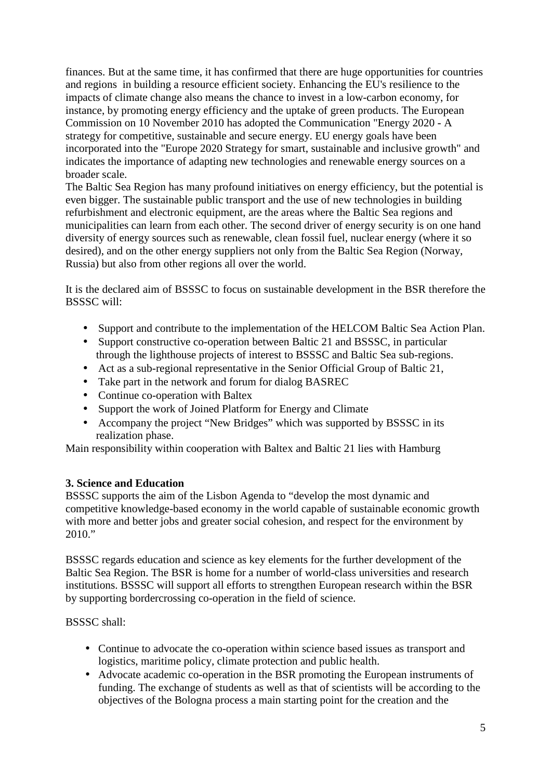finances. But at the same time, it has confirmed that there are huge opportunities for countries and regions in building a resource efficient society. Enhancing the EU's resilience to the impacts of climate change also means the chance to invest in a low-carbon economy, for instance, by promoting energy efficiency and the uptake of green products. The European Commission on 10 November 2010 has adopted the Communication "Energy 2020 - A strategy for competitive, sustainable and secure energy. EU energy goals have been incorporated into the "Europe 2020 Strategy for smart, sustainable and inclusive growth" and indicates the importance of adapting new technologies and renewable energy sources on a broader scale.

The Baltic Sea Region has many profound initiatives on energy efficiency, but the potential is even bigger. The sustainable public transport and the use of new technologies in building refurbishment and electronic equipment, are the areas where the Baltic Sea regions and municipalities can learn from each other. The second driver of energy security is on one hand diversity of energy sources such as renewable, clean fossil fuel, nuclear energy (where it so desired), and on the other energy suppliers not only from the Baltic Sea Region (Norway, Russia) but also from other regions all over the world.

It is the declared aim of BSSSC to focus on sustainable development in the BSR therefore the BSSSC will:

- Support and contribute to the implementation of the HELCOM Baltic Sea Action Plan.
- Support constructive co-operation between Baltic 21 and BSSSC, in particular through the lighthouse projects of interest to BSSSC and Baltic Sea sub-regions.
- Act as a sub-regional representative in the Senior Official Group of Baltic 21,
- Take part in the network and forum for dialog BASREC
- Continue co-operation with Baltex
- Support the work of Joined Platform for Energy and Climate
- Accompany the project "New Bridges" which was supported by BSSSC in its realization phase.

Main responsibility within cooperation with Baltex and Baltic 21 lies with Hamburg

#### **3. Science and Education**

BSSSC supports the aim of the Lisbon Agenda to "develop the most dynamic and competitive knowledge-based economy in the world capable of sustainable economic growth with more and better jobs and greater social cohesion, and respect for the environment by  $2010$ "

BSSSC regards education and science as key elements for the further development of the Baltic Sea Region. The BSR is home for a number of world-class universities and research institutions. BSSSC will support all efforts to strengthen European research within the BSR by supporting bordercrossing co-operation in the field of science.

BSSSC shall:

- Continue to advocate the co-operation within science based issues as transport and logistics, maritime policy, climate protection and public health.
- Advocate academic co-operation in the BSR promoting the European instruments of funding. The exchange of students as well as that of scientists will be according to the objectives of the Bologna process a main starting point for the creation and the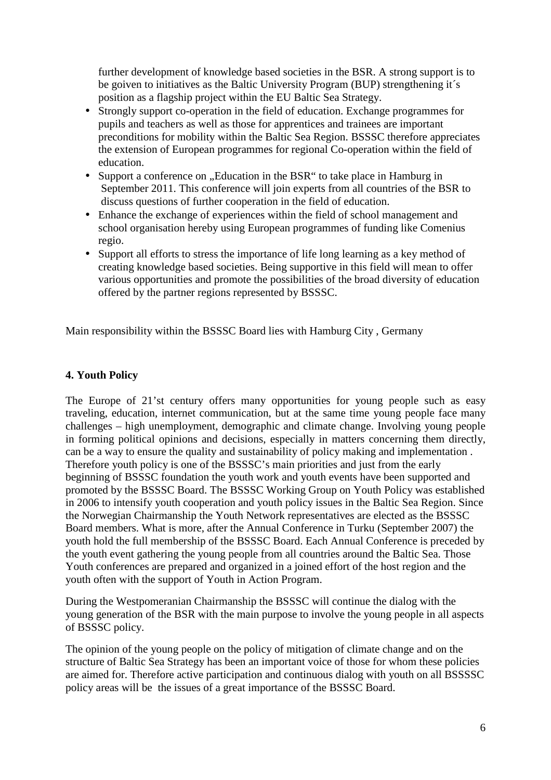further development of knowledge based societies in the BSR. A strong support is to be goiven to initiatives as the Baltic University Program (BUP) strengthening it´s position as a flagship project within the EU Baltic Sea Strategy.

- Strongly support co-operation in the field of education. Exchange programmes for pupils and teachers as well as those for apprentices and trainees are important preconditions for mobility within the Baltic Sea Region. BSSSC therefore appreciates the extension of European programmes for regional Co-operation within the field of education.
- Support a conference on "Education in the BSR" to take place in Hamburg in September 2011. This conference will join experts from all countries of the BSR to discuss questions of further cooperation in the field of education.
- Enhance the exchange of experiences within the field of school management and school organisation hereby using European programmes of funding like Comenius regio.
- Support all efforts to stress the importance of life long learning as a key method of creating knowledge based societies. Being supportive in this field will mean to offer various opportunities and promote the possibilities of the broad diversity of education offered by the partner regions represented by BSSSC.

Main responsibility within the BSSSC Board lies with Hamburg City , Germany

### **4. Youth Policy**

The Europe of 21'st century offers many opportunities for young people such as easy traveling, education, internet communication, but at the same time young people face many challenges – high unemployment, demographic and climate change. Involving young people in forming political opinions and decisions, especially in matters concerning them directly, can be a way to ensure the quality and sustainability of policy making and implementation . Therefore youth policy is one of the BSSSC's main priorities and just from the early beginning of BSSSC foundation the youth work and youth events have been supported and promoted by the BSSSC Board. The BSSSC Working Group on Youth Policy was established in 2006 to intensify youth cooperation and youth policy issues in the Baltic Sea Region. Since the Norwegian Chairmanship the Youth Network representatives are elected as the BSSSC Board members. What is more, after the Annual Conference in Turku (September 2007) the youth hold the full membership of the BSSSC Board. Each Annual Conference is preceded by the youth event gathering the young people from all countries around the Baltic Sea. Those Youth conferences are prepared and organized in a joined effort of the host region and the youth often with the support of Youth in Action Program.

During the Westpomeranian Chairmanship the BSSSC will continue the dialog with the young generation of the BSR with the main purpose to involve the young people in all aspects of BSSSC policy.

The opinion of the young people on the policy of mitigation of climate change and on the structure of Baltic Sea Strategy has been an important voice of those for whom these policies are aimed for. Therefore active participation and continuous dialog with youth on all BSSSSC policy areas will be the issues of a great importance of the BSSSC Board.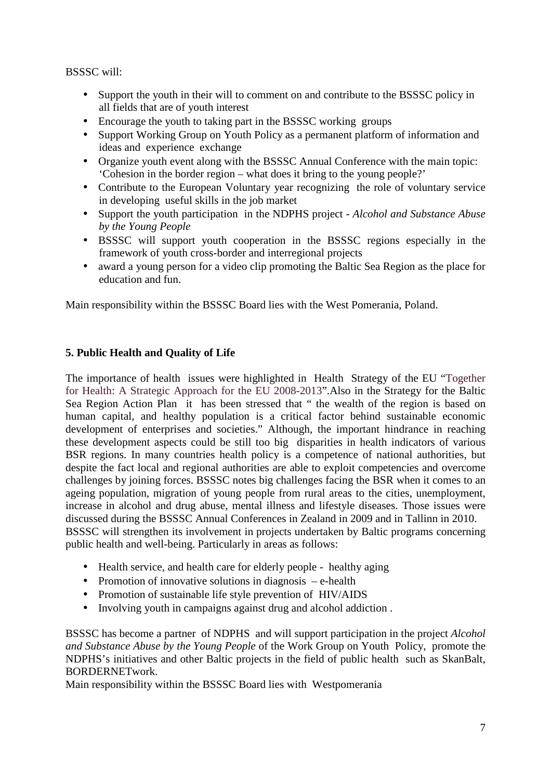BSSSC will:

- Support the youth in their will to comment on and contribute to the BSSSC policy in all fields that are of youth interest
- Encourage the youth to taking part in the BSSSC working groups
- Support Working Group on Youth Policy as a permanent platform of information and ideas and experience exchange
- Organize youth event along with the BSSSC Annual Conference with the main topic: 'Cohesion in the border region – what does it bring to the young people?'
- Contribute to the European Voluntary year recognizing the role of voluntary service in developing useful skills in the job market
- Support the youth participation in the NDPHS project *Alcohol and Substance Abuse by the Young People*
- BSSSC will support youth cooperation in the BSSSC regions especially in the framework of youth cross-border and interregional projects
- award a young person for a video clip promoting the Baltic Sea Region as the place for education and fun.

Main responsibility within the BSSSC Board lies with the West Pomerania, Poland.

# **5. Public Health and Quality of Life**

The importance of health issues were highlighted in Health Strategy of the EU "Together for Health: A Strategic Approach for the EU 2008-2013".Also in the Strategy for the Baltic Sea Region Action Plan it has been stressed that " the wealth of the region is based on human capital, and healthy population is a critical factor behind sustainable economic development of enterprises and societies." Although, the important hindrance in reaching these development aspects could be still too big disparities in health indicators of various BSR regions. In many countries health policy is a competence of national authorities, but despite the fact local and regional authorities are able to exploit competencies and overcome challenges by joining forces. BSSSC notes big challenges facing the BSR when it comes to an ageing population, migration of young people from rural areas to the cities, unemployment, increase in alcohol and drug abuse, mental illness and lifestyle diseases. Those issues were discussed during the BSSSC Annual Conferences in Zealand in 2009 and in Tallinn in 2010. BSSSC will strengthen its involvement in projects undertaken by Baltic programs concerning public health and well-being. Particularly in areas as follows:

- Health service, and health care for elderly people healthy aging
- Promotion of innovative solutions in diagnosis  $-e$ -health
- Promotion of sustainable life style prevention of HIV/AIDS
- Involving youth in campaigns against drug and alcohol addiction .

BSSSC has become a partner of NDPHS and will support participation in the project *Alcohol and Substance Abuse by the Young People* of the Work Group on Youth Policy, promote the NDPHS's initiatives and other Baltic projects in the field of public health such as SkanBalt, BORDERNETwork.

Main responsibility within the BSSSC Board lies with Westpomerania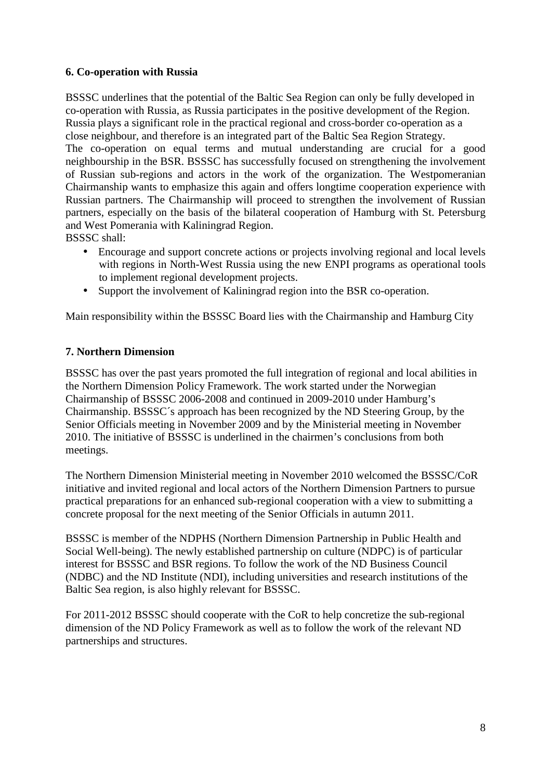## **6. Co-operation with Russia**

BSSSC underlines that the potential of the Baltic Sea Region can only be fully developed in co-operation with Russia, as Russia participates in the positive development of the Region. Russia plays a significant role in the practical regional and cross-border co-operation as a close neighbour, and therefore is an integrated part of the Baltic Sea Region Strategy. The co-operation on equal terms and mutual understanding are crucial for a good neighbourship in the BSR. BSSSC has successfully focused on strengthening the involvement of Russian sub-regions and actors in the work of the organization. The Westpomeranian Chairmanship wants to emphasize this again and offers longtime cooperation experience with Russian partners. The Chairmanship will proceed to strengthen the involvement of Russian partners, especially on the basis of the bilateral cooperation of Hamburg with St. Petersburg and West Pomerania with Kaliningrad Region.

BSSSC shall:

- Encourage and support concrete actions or projects involving regional and local levels with regions in North-West Russia using the new ENPI programs as operational tools to implement regional development projects.
- Support the involvement of Kaliningrad region into the BSR co-operation.

Main responsibility within the BSSSC Board lies with the Chairmanship and Hamburg City

### **7. Northern Dimension**

BSSSC has over the past years promoted the full integration of regional and local abilities in the Northern Dimension Policy Framework. The work started under the Norwegian Chairmanship of BSSSC 2006-2008 and continued in 2009-2010 under Hamburg's Chairmanship. BSSSC´s approach has been recognized by the ND Steering Group, by the Senior Officials meeting in November 2009 and by the Ministerial meeting in November 2010. The initiative of BSSSC is underlined in the chairmen's conclusions from both meetings.

The Northern Dimension Ministerial meeting in November 2010 welcomed the BSSSC/CoR initiative and invited regional and local actors of the Northern Dimension Partners to pursue practical preparations for an enhanced sub-regional cooperation with a view to submitting a concrete proposal for the next meeting of the Senior Officials in autumn 2011.

BSSSC is member of the NDPHS (Northern Dimension Partnership in Public Health and Social Well-being). The newly established partnership on culture (NDPC) is of particular interest for BSSSC and BSR regions. To follow the work of the ND Business Council (NDBC) and the ND Institute (NDI), including universities and research institutions of the Baltic Sea region, is also highly relevant for BSSSC.

For 2011-2012 BSSSC should cooperate with the CoR to help concretize the sub-regional dimension of the ND Policy Framework as well as to follow the work of the relevant ND partnerships and structures.